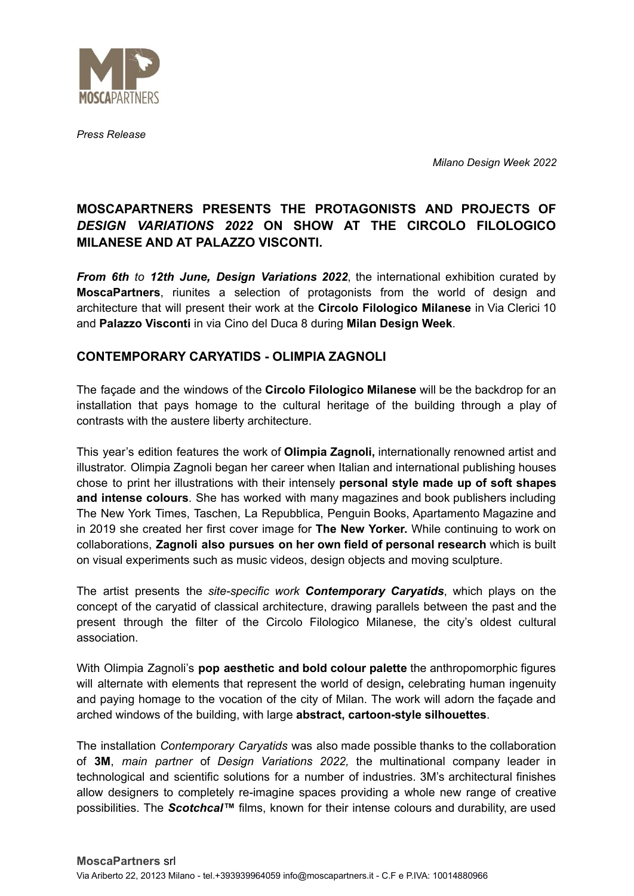

*Press Release*

*Milano Design Week 2022*

# **MOSCAPARTNERS PRESENTS THE PROTAGONISTS AND PROJECTS OF** *DESIGN VARIATIONS 2022* **ON SHOW AT THE CIRCOLO FILOLOGICO MILANESE AND AT PALAZZO VISCONTI.**

*From 6th to 12th June, Design Variations 2022*, the international exhibition curated by **MoscaPartners**, riunites a selection of protagonists from the world of design and architecture that will present their work at the **Circolo Filologico Milanese** in Via Clerici 10 and **Palazzo Visconti** in via Cino del Duca 8 during **Milan Design Week**.

### **CONTEMPORARY CARYATIDS - OLIMPIA ZAGNOLI**

The façade and the windows of the **Circolo Filologico Milanese** will be the backdrop for an installation that pays homage to the cultural heritage of the building through a play of contrasts with the austere liberty architecture.

This year's edition features the work of **Olimpia Zagnoli,** internationally renowned artist and illustrator. Olimpia Zagnoli began her career when Italian and international publishing houses chose to print her illustrations with their intensely **personal style made up of soft shapes and intense colours**. She has worked with many magazines and book publishers including The New York Times, Taschen, La Repubblica, Penguin Books, Apartamento Magazine and in 2019 she created her first cover image for **The New Yorker.** While continuing to work on collaborations, **Zagnoli also pursues on her own field of personal research** which is built on visual experiments such as music videos, design objects and moving sculpture.

The artist presents the *site-specific work Contemporary Caryatids*, which plays on the concept of the caryatid of classical architecture, drawing parallels between the past and the present through the filter of the Circolo Filologico Milanese, the city's oldest cultural association.

With Olimpia Zagnoli's **pop aesthetic and bold colour palette** the anthropomorphic figures will alternate with elements that represent the world of design**,** celebrating human ingenuity and paying homage to the vocation of the city of Milan. The work will adorn the façade and arched windows of the building, with large **abstract, cartoon-style silhouettes**.

The installation *Contemporary Caryatids* was also made possible thanks to the collaboration of **3M**, *main partner* of *Design Variations 2022,* the multinational company leader in technological and scientific solutions for a number of industries. 3M's architectural finishes allow designers to completely re-imagine spaces providing a whole new range of creative possibilities. The *Scotchcal™* films, known for their intense colours and durability, are used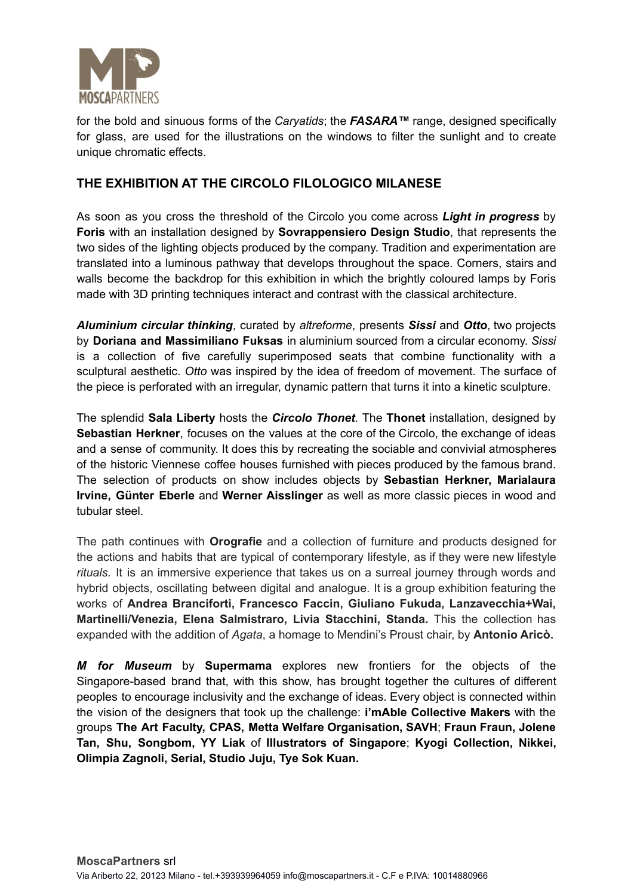

for the bold and sinuous forms of the *Caryatids*; the *FASARA™* range, designed specifically for glass, are used for the illustrations on the windows to filter the sunlight and to create unique chromatic effects.

## **THE EXHIBITION AT THE CIRCOLO FILOLOGICO MILANESE**

As soon as you cross the threshold of the Circolo you come across *Light in progress* by **Foris** with an installation designed by **Sovrappensiero Design Studio**, that represents the two sides of the lighting objects produced by the company. Tradition and experimentation are translated into a luminous pathway that develops throughout the space. Corners, stairs and walls become the backdrop for this exhibition in which the brightly coloured lamps by Foris made with 3D printing techniques interact and contrast with the classical architecture.

*Aluminium circular thinking*, curated by *altreforme*, presents *Sissi* and *Otto*, two projects by **Doriana and Massimiliano Fuksas** in aluminium sourced from a circular economy. *Sissi* is a collection of five carefully superimposed seats that combine functionality with a sculptural aesthetic. *Otto* was inspired by the idea of freedom of movement. The surface of the piece is perforated with an irregular, dynamic pattern that turns it into a kinetic sculpture.

The splendid **Sala Liberty** hosts the *Circolo Thonet*. The **Thonet** installation, designed by **Sebastian Herkner**, focuses on the values at the core of the Circolo, the exchange of ideas and a sense of community. It does this by recreating the sociable and convivial atmospheres of the historic Viennese coffee houses furnished with pieces produced by the famous brand. The selection of products on show includes objects by **Sebastian Herkner, Marialaura Irvine, Günter Eberle** and **Werner Aisslinger** as well as more classic pieces in wood and tubular steel.

The path continues with **Orografie** and a collection of furniture and products designed for the actions and habits that are typical of contemporary lifestyle, as if they were new lifestyle *rituals.* It is an immersive experience that takes us on a surreal journey through words and hybrid objects, oscillating between digital and analogue. It is a group exhibition featuring the works of **Andrea Branciforti, Francesco Faccin, Giuliano Fukuda, Lanzavecchia+Wai, Martinelli/Venezia, Elena Salmistraro, Livia Stacchini, Standa.** This the collection has expanded with the addition of *Agata*, a homage to Mendini's Proust chair, by **Antonio Aricò.**

*M for Museum* by **Supermama** explores new frontiers for the objects of the Singapore-based brand that, with this show, has brought together the cultures of different peoples to encourage inclusivity and the exchange of ideas. Every object is connected within the vision of the designers that took up the challenge: **i'mAble Collective Makers** with the groups **The Art Faculty, CPAS, Metta Welfare Organisation, SAVH**; **Fraun Fraun, Jolene Tan, Shu, Songbom, YY Liak** of **Illustrators of Singapore**; **Kyogi Collection, Nikkei, Olimpia Zagnoli, Serial, Studio Juju, Tye Sok Kuan.**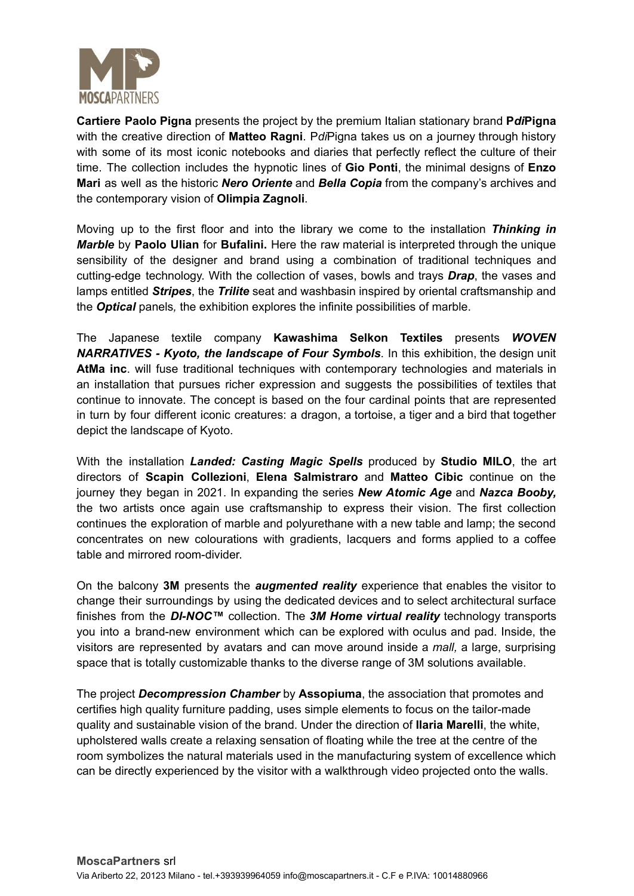

**Cartiere Paolo Pigna** presents the project by the premium Italian stationary brand **P***di***Pigna** with the creative direction of **Matteo Ragni**. P*di*Pigna takes us on a journey through history with some of its most iconic notebooks and diaries that perfectly reflect the culture of their time. The collection includes the hypnotic lines of **Gio Ponti**, the minimal designs of **Enzo Mari** as well as the historic *Nero Oriente* and *Bella Copia* from the company's archives and the contemporary vision of **Olimpia Zagnoli**.

Moving up to the first floor and into the library we come to the installation *Thinking in Marble* by **Paolo Ulian** for **Bufalini.** Here the raw material is interpreted through the unique sensibility of the designer and brand using a combination of traditional techniques and cutting-edge technology. With the collection of vases, bowls and trays *Drap*, the vases and lamps entitled *Stripes*, the *Trilite* seat and washbasin inspired by oriental craftsmanship and the *Optical* panels*,* the exhibition explores the infinite possibilities of marble.

The Japanese textile company **Kawashima Selkon Textiles** presents *WOVEN NARRATIVES - Kyoto, the landscape of Four Symbols*. In this exhibition, the design unit **AtMa inc**. will fuse traditional techniques with contemporary technologies and materials in an installation that pursues richer expression and suggests the possibilities of textiles that continue to innovate. The concept is based on the four cardinal points that are represented in turn by four different iconic creatures: a dragon, a tortoise, a tiger and a bird that together depict the landscape of Kyoto.

With the installation *Landed: Casting Magic Spells* produced by **Studio MILO**, the art directors of **Scapin Collezioni**, **Elena Salmistraro** and **Matteo Cibic** continue on the journey they began in 2021. In expanding the series *New Atomic Age* and *Nazca Booby,* the two artists once again use craftsmanship to express their vision. The first collection continues the exploration of marble and polyurethane with a new table and lamp; the second concentrates on new colourations with gradients, lacquers and forms applied to a coffee table and mirrored room-divider.

On the balcony **3M** presents the *augmented reality* experience that enables the visitor to change their surroundings by using the dedicated devices and to select architectural surface finishes from the *DI-NOC™* collection. The *3M Home virtual reality* technology transports you into a brand-new environment which can be explored with oculus and pad. Inside, the visitors are represented by avatars and can move around inside a *mall,* a large, surprising space that is totally customizable thanks to the diverse range of 3M solutions available.

The project *Decompression Chamber* by **Assopiuma**, the association that promotes and certifies high quality furniture padding, uses simple elements to focus on the tailor-made quality and sustainable vision of the brand. Under the direction of **Ilaria Marelli**, the white, upholstered walls create a relaxing sensation of floating while the tree at the centre of the room symbolizes the natural materials used in the manufacturing system of excellence which can be directly experienced by the visitor with a walkthrough video projected onto the walls.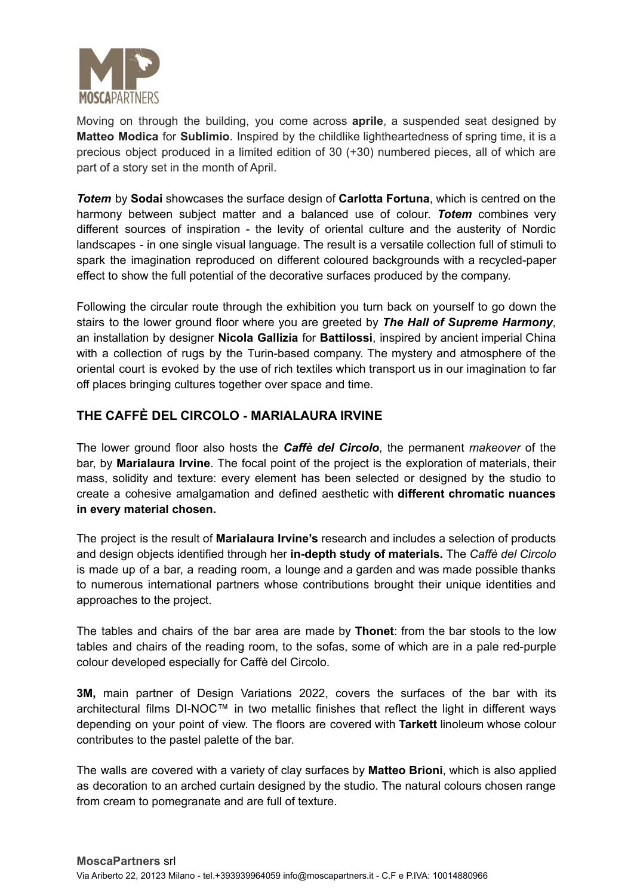

Moving on through the building, you come across **aprile**, a suspended seat designed by **Matteo Modica** for **Sublimio**. Inspired by the childlike lightheartedness of spring time, it is a precious object produced in a limited edition of 30 (+30) numbered pieces, all of which are part of a story set in the month of April.

*Totem* by **Sodai** showcases the surface design of **Carlotta Fortuna**, which is centred on the harmony between subject matter and a balanced use of colour. *Totem* combines very different sources of inspiration - the levity of oriental culture and the austerity of Nordic landscapes - in one single visual language. The result is a versatile collection full of stimuli to spark the imagination reproduced on different coloured backgrounds with a recycled-paper effect to show the full potential of the decorative surfaces produced by the company.

Following the circular route through the exhibition you turn back on yourself to go down the stairs to the lower ground floor where you are greeted by *The Hall of Supreme Harmony*, an installation by designer **Nicola Gallizia** for **Battilossi**, inspired by ancient imperial China with a collection of rugs by the Turin-based company. The mystery and atmosphere of the oriental court is evoked by the use of rich textiles which transport us in our imagination to far off places bringing cultures together over space and time.

### **THE CAFFÈ DEL CIRCOLO - MARIALAURA IRVINE**

The lower ground floor also hosts the *Caffè del Circolo*, the permanent *makeover* of the bar, by **Marialaura Irvine**. The focal point of the project is the exploration of materials, their mass, solidity and texture: every element has been selected or designed by the studio to create a cohesive amalgamation and defined aesthetic with **different chromatic nuances in every material chosen.**

The project is the result of **Marialaura Irvine's** research and includes a selection of products and design objects identified through her **in-depth study of materials.** The *Caffè del Circolo* is made up of a bar, a reading room, a lounge and a garden and was made possible thanks to numerous international partners whose contributions brought their unique identities and approaches to the project.

The tables and chairs of the bar area are made by **Thonet**: from the bar stools to the low tables and chairs of the reading room, to the sofas, some of which are in a pale red-purple colour developed especially for Caffè del Circolo.

**3M,** main partner of Design Variations 2022, covers the surfaces of the bar with its architectural films DI-NOC™ in two metallic finishes that reflect the light in different ways depending on your point of view. The floors are covered with **Tarkett** linoleum whose colour contributes to the pastel palette of the bar.

The walls are covered with a variety of clay surfaces by **Matteo Brioni**, which is also applied as decoration to an arched curtain designed by the studio. The natural colours chosen range from cream to pomegranate and are full of texture.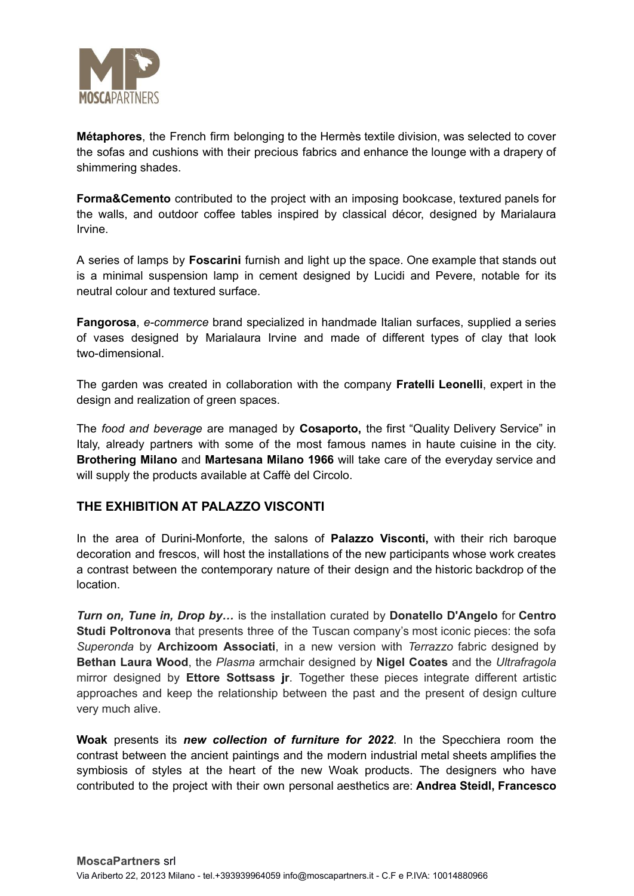

**Métaphores**, the French firm belonging to the Hermès textile division, was selected to cover the sofas and cushions with their precious fabrics and enhance the lounge with a drapery of shimmering shades.

**Forma&Cemento** contributed to the project with an imposing bookcase, textured panels for the walls, and outdoor coffee tables inspired by classical décor, designed by Marialaura Irvine.

A series of lamps by **Foscarini** furnish and light up the space. One example that stands out is a minimal suspension lamp in cement designed by Lucidi and Pevere, notable for its neutral colour and textured surface.

**Fangorosa**, *e-commerce* brand specialized in handmade Italian surfaces, supplied a series of vases designed by Marialaura Irvine and made of different types of clay that look two-dimensional.

The garden was created in collaboration with the company **Fratelli Leonelli**, expert in the design and realization of green spaces.

The *food and beverage* are managed by **Cosaporto,** the first "Quality Delivery Service" in Italy, already partners with some of the most famous names in haute cuisine in the city. **Brothering Milano** and **Martesana Milano 1966** will take care of the everyday service and will supply the products available at Caffè del Circolo.

#### **THE EXHIBITION AT PALAZZO VISCONTI**

In the area of Durini-Monforte, the salons of **Palazzo Visconti,** with their rich baroque decoration and frescos, will host the installations of the new participants whose work creates a contrast between the contemporary nature of their design and the historic backdrop of the location.

*Turn on, Tune in, Drop by…* is the installation curated by **Donatello D'Angelo** for **Centro Studi Poltronova** that presents three of the Tuscan company's most iconic pieces: the sofa *Superonda* by **Archizoom Associati**, in a new version with *Terrazzo* fabric designed by **Bethan Laura Wood**, the *Plasma* armchair designed by **Nigel Coates** and the *Ultrafragola* mirror designed by **Ettore Sottsass jr**. Together these pieces integrate different artistic approaches and keep the relationship between the past and the present of design culture very much alive.

**Woak** presents its *new collection of furniture for 2022*. In the Specchiera room the contrast between the ancient paintings and the modern industrial metal sheets amplifies the symbiosis of styles at the heart of the new Woak products. The designers who have contributed to the project with their own personal aesthetics are: **Andrea Steidl, Francesco**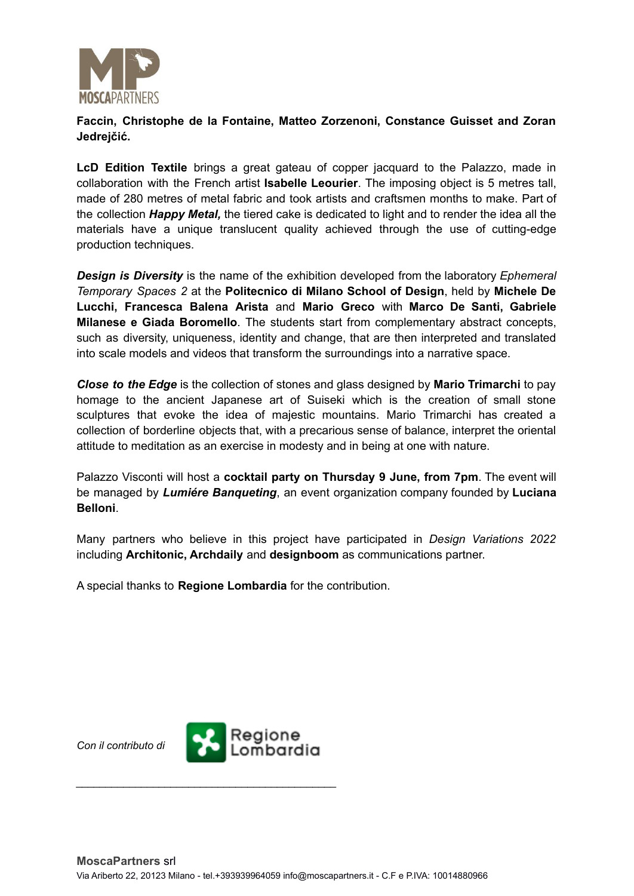

#### **Faccin, Christophe de la Fontaine, Matteo Zorzenoni, Constance Guisset and Zoran Jedrejčić.**

**LcD Edition Textile** brings a great gateau of copper jacquard to the Palazzo, made in collaboration with the French artist **Isabelle Leourier**. The imposing object is 5 metres tall, made of 280 metres of metal fabric and took artists and craftsmen months to make. Part of the collection *Happy Metal,* the tiered cake is dedicated to light and to render the idea all the materials have a unique translucent quality achieved through the use of cutting-edge production techniques.

*Design is Diversity* is the name of the exhibition developed from the laboratory *Ephemeral Temporary Spaces 2* at the **Politecnico di Milano School of Design**, held by **Michele De Lucchi, Francesca Balena Arista** and **Mario Greco** with **Marco De Santi, Gabriele Milanese e Giada Boromello**. The students start from complementary abstract concepts, such as diversity, uniqueness, identity and change, that are then interpreted and translated into scale models and videos that transform the surroundings into a narrative space.

*Close to the Edge* is the collection of stones and glass designed by **Mario Trimarchi** to pay homage to the ancient Japanese art of Suiseki which is the creation of small stone sculptures that evoke the idea of majestic mountains. Mario Trimarchi has created a collection of borderline objects that, with a precarious sense of balance, interpret the oriental attitude to meditation as an exercise in modesty and in being at one with nature.

Palazzo Visconti will host a **cocktail party on Thursday 9 June, from 7pm**. The event will be managed by *Lumiére Banqueting*, an event organization company founded by **Luciana Belloni**.

Many partners who believe in this project have participated in *Design Variations 2022* including **Architonic, Archdaily** and **designboom** as communications partner.

A special thanks to **Regione Lombardia** for the contribution.



*\_\_\_\_\_\_\_\_\_\_\_\_\_\_\_\_\_\_\_\_\_\_\_\_\_\_\_\_\_\_\_\_\_\_\_\_\_\_\_\_\_\_\_\_*

*Con il contributo di*